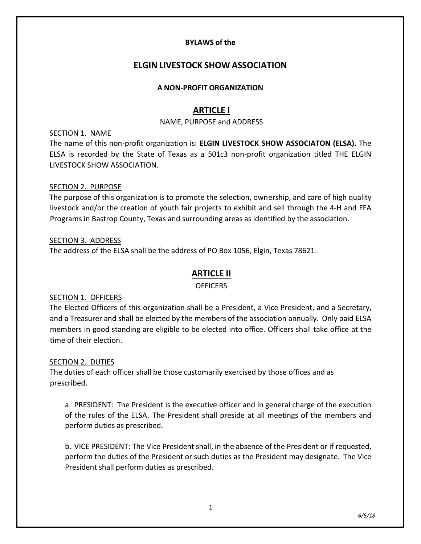#### **BYLAWS of the**

# **ELGIN LIVESTOCK SHOW ASSOCIATION**

#### **A NON-PROFIT ORGANIZATION**

# **ARTICLE I**

#### NAME, PURPOSE and ADDRESS

#### SECTION 1. NAME

The name of this non-profit organization is: **ELGIN LIVESTOCK SHOW ASSOCIATON (ELSA).** The ELSA is recorded by the State of Texas as a 501c3 non-profit organization titled THE ELGIN LIVESTOCK SHOW ASSOCIATION.

#### SECTION 2. PURPOSE

The purpose of this organization is to promote the selection, ownership, and care of high quality livestock and/or the creation of youth fair projects to exhibit and sell through the 4-H and FFA Programs in Bastrop County, Texas and surrounding areas as identified by the association.

#### SECTION 3. ADDRESS

The address of the ELSA shall be the address of PO Box 1056, Elgin, Texas 78621.

## **ARTICLE II**

#### **OFFICERS**

#### SECTION 1. OFFICERS

The Elected Officers of this organization shall be a President, a Vice President, and a Secretary, and a Treasurer and shall be elected by the members of the association annually. Only paid ELSA members in good standing are eligible to be elected into office. Officers shall take office at the time of their election.

#### SECTION 2. DUTIES

The duties of each officer shall be those customarily exercised by those offices and as prescribed.

a. PRESIDENT: The President is the executive officer and in general charge of the execution of the rules of the ELSA. The President shall preside at all meetings of the members and perform duties as prescribed.

b. VICE PRESIDENT: The Vice President shall, in the absence of the President or if requested, perform the duties of the President or such duties as the President may designate. The Vice President shall perform duties as prescribed.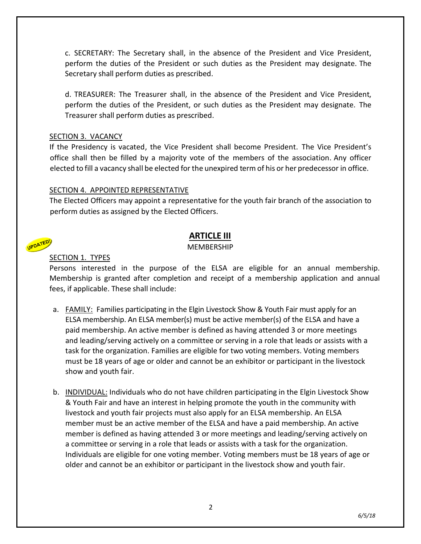c. SECRETARY: The Secretary shall, in the absence of the President and Vice President, perform the duties of the President or such duties as the President may designate. The Secretary shall perform duties as prescribed.

d. TREASURER: The Treasurer shall, in the absence of the President and Vice President, perform the duties of the President, or such duties as the President may designate. The Treasurer shall perform duties as prescribed.

#### SECTION 3. VACANCY

If the Presidency is vacated, the Vice President shall become President. The Vice President's office shall then be filled by a majority vote of the members of the association. Any officer elected to fill a vacancy shall be elected for the unexpired term of his or her predecessor in office.

### SECTION 4. APPOINTED REPRESENTATIVE

The Elected Officers may appoint a representative for the youth fair branch of the association to perform duties as assigned by the Elected Officers.



# **ARTICLE III**

### MEMBERSHIP

#### SECTION 1. TYPES

Persons interested in the purpose of the ELSA are eligible for an annual membership. Membership is granted after completion and receipt of a membership application and annual fees, if applicable. These shall include:

- a. FAMILY: Families participating in the Elgin Livestock Show & Youth Fair must apply for an ELSA membership. An ELSA member(s) must be active member(s) of the ELSA and have a paid membership. An active member is defined as having attended 3 or more meetings and leading/serving actively on a committee or serving in a role that leads or assists with a task for the organization. Families are eligible for two voting members. Voting members must be 18 years of age or older and cannot be an exhibitor or participant in the livestock show and youth fair.
- b. INDIVIDUAL: Individuals who do not have children participating in the Elgin Livestock Show & Youth Fair and have an interest in helping promote the youth in the community with livestock and youth fair projects must also apply for an ELSA membership. An ELSA member must be an active member of the ELSA and have a paid membership. An active member is defined as having attended 3 or more meetings and leading/serving actively on a committee or serving in a role that leads or assists with a task for the organization. Individuals are eligible for one voting member. Voting members must be 18 years of age or older and cannot be an exhibitor or participant in the livestock show and youth fair.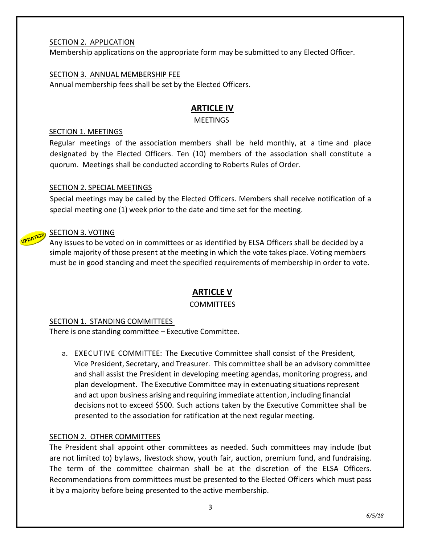### SECTION 2. APPLICATION

Membership applications on the appropriate form may be submitted to any Elected Officer.

### SECTION 3. ANNUAL MEMBERSHIP FEE

Annual membership fees shall be set by the Elected Officers.

# **ARTICLE IV**

**MEETINGS** 

#### SECTION 1. MEETINGS

Regular meetings of the association members shall be held monthly, at a time and place designated by the Elected Officers. Ten (10) members of the association shall constitute a quorum. Meetings shall be conducted according to Roberts Rules of Order.

#### SECTION 2. SPECIAL MEETINGS

Special meetings may be called by the Elected Officers. Members shall receive notification of a special meeting one (1) week prior to the date and time set for the meeting.

#### SECTION 3. VOTING

UPDATED!

Any issuesto be voted on in committees or as identified by ELSA Officers shall be decided by a simple majority of those present at the meeting in which the vote takes place. Voting members must be in good standing and meet the specified requirements of membership in order to vote.

# **ARTICLE V**

#### **COMMITTEES**

#### SECTION 1. STANDING COMMITTEES

There is one standing committee – Executive Committee.

a. EXECUTIVE COMMITTEE: The Executive Committee shall consist of the President, Vice President, Secretary, and Treasurer. This committee shall be an advisory committee and shall assist the President in developing meeting agendas, monitoring progress, and plan development. The Executive Committee may in extenuating situations represent and act upon business arising and requiring immediate attention, including financial decisions not to exceed \$500. Such actions taken by the Executive Committee shall be presented to the association for ratification at the next regular meeting.

#### SECTION 2. OTHER COMMITTEES

The President shall appoint other committees as needed. Such committees may include (but are not limited to) bylaws, livestock show, youth fair, auction, premium fund, and fundraising. The term of the committee chairman shall be at the discretion of the ELSA Officers. Recommendations from committees must be presented to the Elected Officers which must pass it by a majority before being presented to the active membership.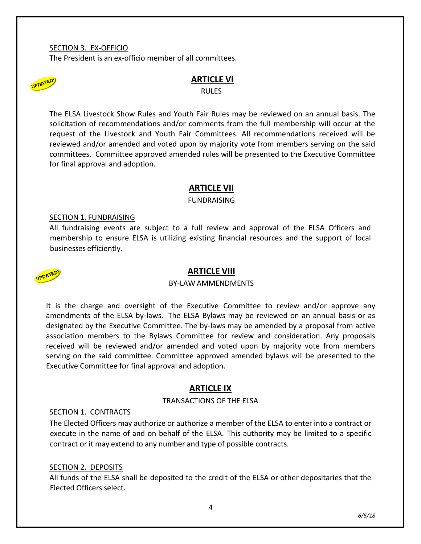#### SECTION 3. EX-OFFICIO

The President is an ex-officio member of all committees.



# **ARTICLE VI**

RULES

The ELSA Livestock Show Rules and Youth Fair Rules may be reviewed on an annual basis. The solicitation of recommendations and/or comments from the full membership will occur at the request of the Livestock and Youth Fair Committees. All recommendations received will be reviewed and/or amended and voted upon by majority vote from members serving on the said committees. Committee approved amended rules will be presented to the Executive Committee for final approval and adoption.

# **ARTICLE VII**

FUNDRAISING

#### SECTION 1. FUNDRAISING

All fundraising events are subject to a full review and approval of the ELSA Officers and membership to ensure ELSA is utilizing existing financial resources and the support of local businesses efficiently.



### **ARTICLE VIII**

#### BY-LAW AMMENDMENTS

It is the charge and oversight of the Executive Committee to review and/or approve any amendments of the ELSA by-laws. The ELSA Bylaws may be reviewed on an annual basis or as designated by the Executive Committee. The by-laws may be amended by a proposal from active association members to the Bylaws Committee for review and consideration. Any proposals received will be reviewed and/or amended and voted upon by majority vote from members serving on the said committee. Committee approved amended bylaws will be presented to the Executive Committee for final approval and adoption.

# **ARTICLE IX**

#### TRANSACTIONS OF THE ELSA

#### SECTION 1. CONTRACTS

The Elected Officers may authorize or authorize a member of the ELSA to enter into a contract or execute in the name of and on behalf of the ELSA. This authority may be limited to a specific contract or it may extend to any number and type of possible contracts.

### SECTION 2. DEPOSITS

All funds of the ELSA shall be deposited to the credit of the ELSA or other depositaries that the Elected Officers select.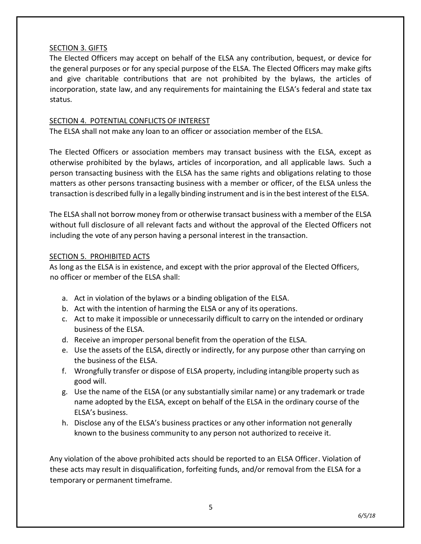### SECTION 3. GIFTS

The Elected Officers may accept on behalf of the ELSA any contribution, bequest, or device for the general purposes or for any special purpose of the ELSA. The Elected Officers may make gifts and give charitable contributions that are not prohibited by the bylaws, the articles of incorporation, state law, and any requirements for maintaining the ELSA's federal and state tax status.

### SECTION 4. POTENTIAL CONFLICTS OF INTEREST

The ELSA shall not make any loan to an officer or association member of the ELSA.

The Elected Officers or association members may transact business with the ELSA, except as otherwise prohibited by the bylaws, articles of incorporation, and all applicable laws. Such a person transacting business with the ELSA has the same rights and obligations relating to those matters as other persons transacting business with a member or officer, of the ELSA unless the transaction is described fully in a legally binding instrument and isin the best interest of the ELSA.

The ELSA shall not borrow money from or otherwise transact business with a member of the ELSA without full disclosure of all relevant facts and without the approval of the Elected Officers not including the vote of any person having a personal interest in the transaction.

### SECTION 5. PROHIBITED ACTS

As long as the ELSA is in existence, and except with the prior approval of the Elected Officers, no officer or member of the ELSA shall:

- a. Act in violation of the bylaws or a binding obligation of the ELSA.
- b. Act with the intention of harming the ELSA or any of its operations.
- c. Act to make it impossible or unnecessarily difficult to carry on the intended or ordinary business of the ELSA.
- d. Receive an improper personal benefit from the operation of the ELSA.
- e. Use the assets of the ELSA, directly or indirectly, for any purpose other than carrying on the business of the ELSA.
- f. Wrongfully transfer or dispose of ELSA property, including intangible property such as good will.
- g. Use the name of the ELSA (or any substantially similar name) or any trademark or trade name adopted by the ELSA, except on behalf of the ELSA in the ordinary course of the ELSA's business.
- h. Disclose any of the ELSA's business practices or any other information not generally known to the business community to any person not authorized to receive it.

Any violation of the above prohibited acts should be reported to an ELSA Officer. Violation of these acts may result in disqualification, forfeiting funds, and/or removal from the ELSA for a temporary or permanent timeframe.